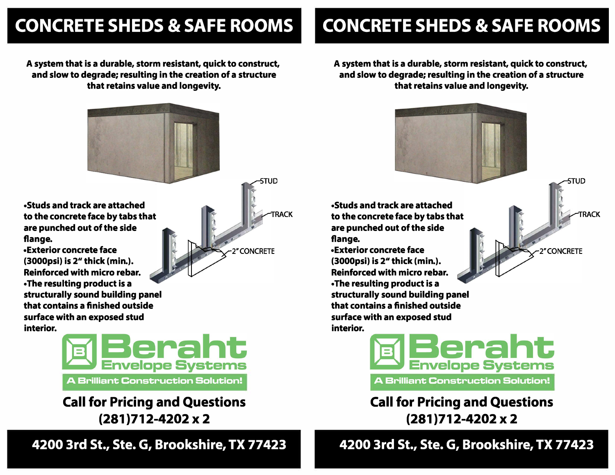## **CONCRETE SHEDS & SAFE ROOMS**

**A system that is a durable, storm resistant, quick to construct, and slow to degrade; resulting in the creation of a structure that retains value and longevity.** 



**TRACK** 

stun

2" CONCRETE

**•Studs and track are attached to the concrete face by tabs that are punched out of the side flange.**

**•Exterior concrete face (3000psi) is** *2 <sup>11</sup>***thick (min.). Reinforced with micro rebar. • The resulting product is a structurally sound building panel that contains a finished outside surface with an exposed stud interior.**



**Call for Pricing and Questions (281 )712-4202 X 2** 

**4200 3rd St., Ste. G, Brookshire, TX 77423**